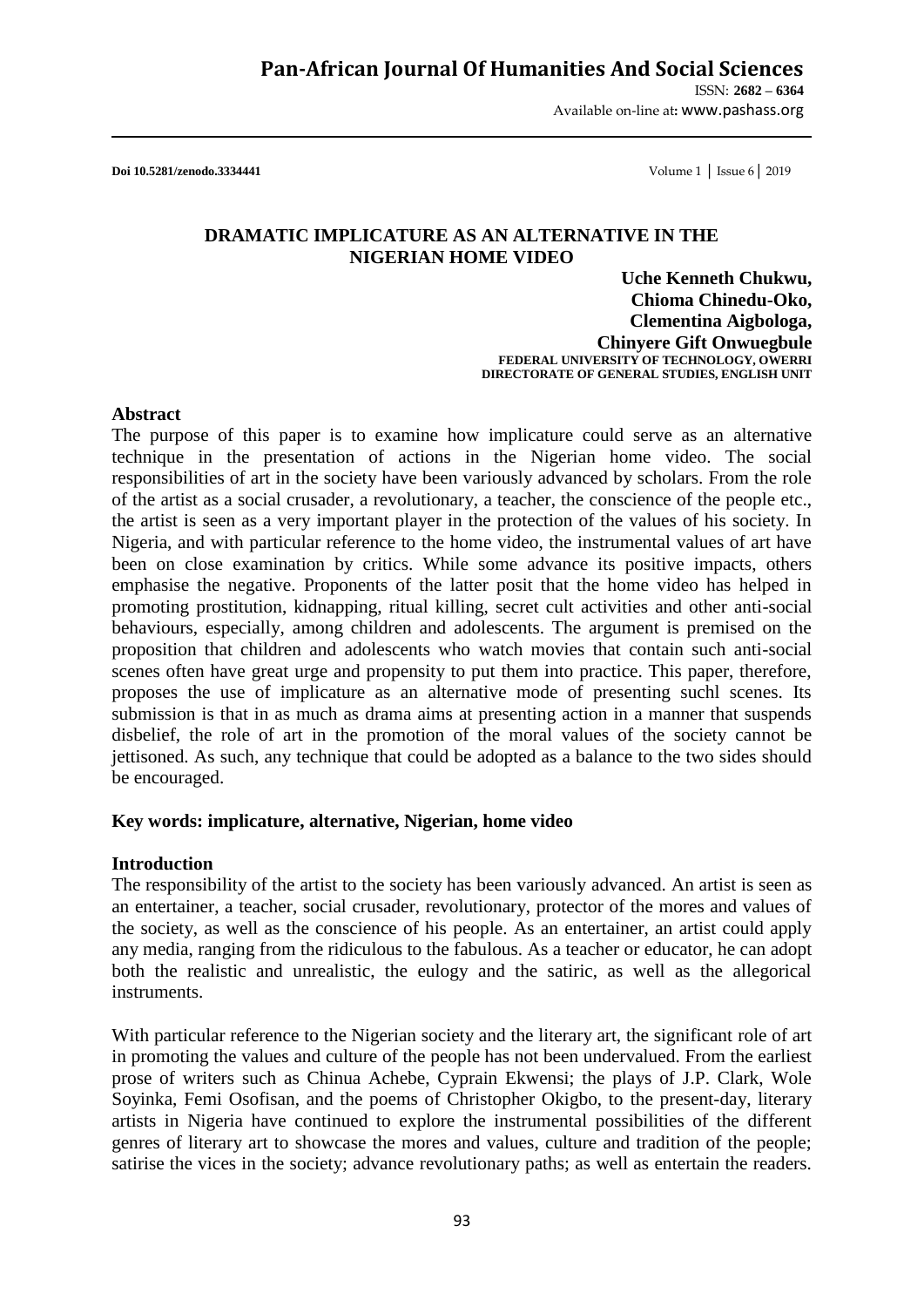ISSN: **2682 – 6364** Available on-line at**:** www.pashass.org

**Doi 10.5281/zenodo.3334441** Volume 1 │ Issue 6│ 2019

#### **DRAMATIC IMPLICATURE AS AN ALTERNATIVE IN THE NIGERIAN HOME VIDEO**

**Uche Kenneth Chukwu, Chioma Chinedu-Oko, Clementina Aigbologa, Chinyere Gift Onwuegbule FEDERAL UNIVERSITY OF TECHNOLOGY, OWERRI DIRECTORATE OF GENERAL STUDIES, ENGLISH UNIT**

#### **Abstract**

The purpose of this paper is to examine how implicature could serve as an alternative technique in the presentation of actions in the Nigerian home video. The social responsibilities of art in the society have been variously advanced by scholars. From the role of the artist as a social crusader, a revolutionary, a teacher, the conscience of the people etc., the artist is seen as a very important player in the protection of the values of his society. In Nigeria, and with particular reference to the home video, the instrumental values of art have been on close examination by critics. While some advance its positive impacts, others emphasise the negative. Proponents of the latter posit that the home video has helped in promoting prostitution, kidnapping, ritual killing, secret cult activities and other anti-social behaviours, especially, among children and adolescents. The argument is premised on the proposition that children and adolescents who watch movies that contain such anti-social scenes often have great urge and propensity to put them into practice. This paper, therefore, proposes the use of implicature as an alternative mode of presenting suchl scenes. Its submission is that in as much as drama aims at presenting action in a manner that suspends disbelief, the role of art in the promotion of the moral values of the society cannot be jettisoned. As such, any technique that could be adopted as a balance to the two sides should be encouraged.

#### **Key words: implicature, alternative, Nigerian, home video**

#### **Introduction**

The responsibility of the artist to the society has been variously advanced. An artist is seen as an entertainer, a teacher, social crusader, revolutionary, protector of the mores and values of the society, as well as the conscience of his people. As an entertainer, an artist could apply any media, ranging from the ridiculous to the fabulous. As a teacher or educator, he can adopt both the realistic and unrealistic, the eulogy and the satiric, as well as the allegorical instruments.

With particular reference to the Nigerian society and the literary art, the significant role of art in promoting the values and culture of the people has not been undervalued. From the earliest prose of writers such as Chinua Achebe, Cyprain Ekwensi; the plays of J.P. Clark, Wole Soyinka, Femi Osofisan, and the poems of Christopher Okigbo, to the present-day, literary artists in Nigeria have continued to explore the instrumental possibilities of the different genres of literary art to showcase the mores and values, culture and tradition of the people; satirise the vices in the society; advance revolutionary paths; as well as entertain the readers.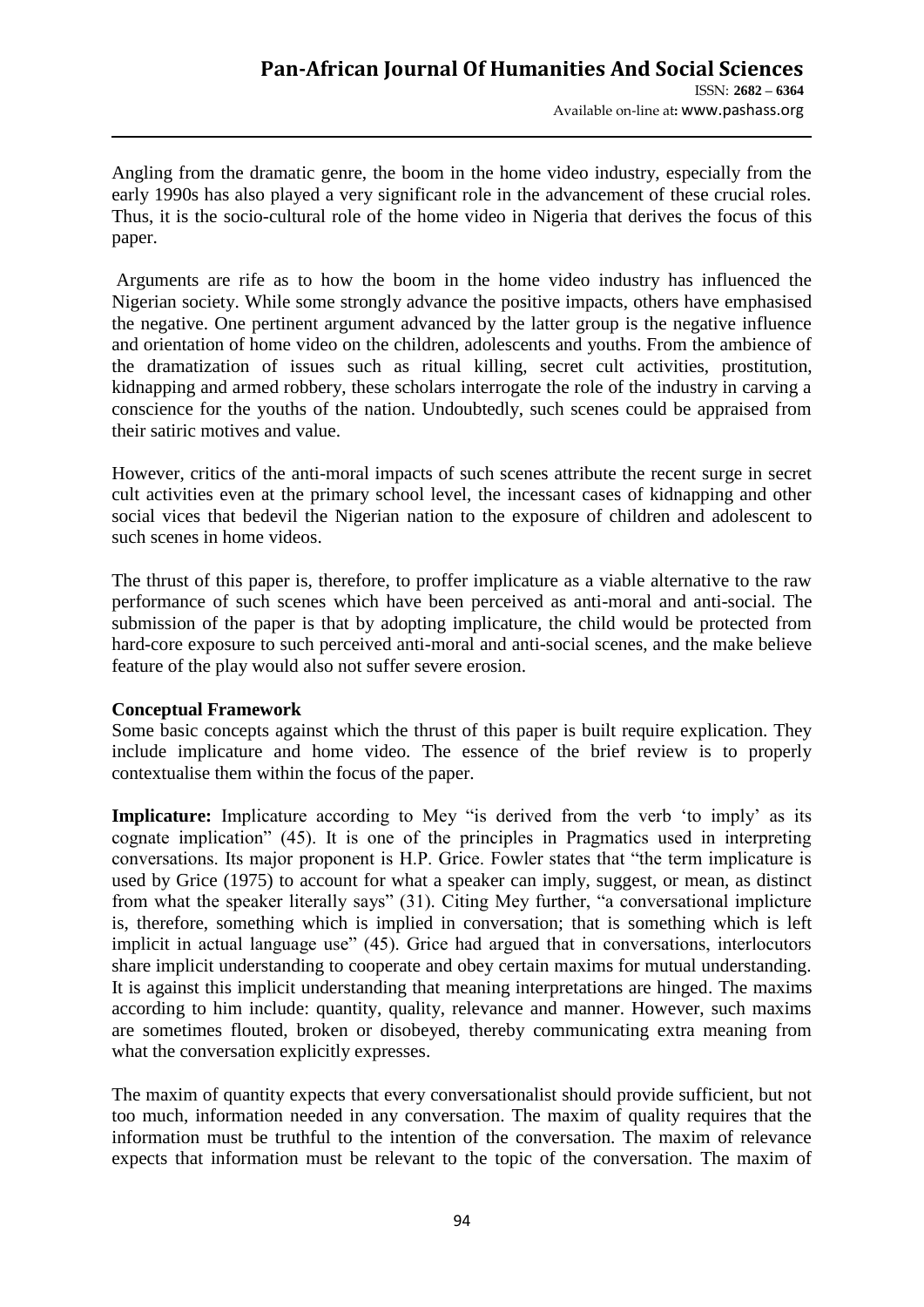Angling from the dramatic genre, the boom in the home video industry, especially from the early 1990s has also played a very significant role in the advancement of these crucial roles. Thus, it is the socio-cultural role of the home video in Nigeria that derives the focus of this paper.

Arguments are rife as to how the boom in the home video industry has influenced the Nigerian society. While some strongly advance the positive impacts, others have emphasised the negative. One pertinent argument advanced by the latter group is the negative influence and orientation of home video on the children, adolescents and youths. From the ambience of the dramatization of issues such as ritual killing, secret cult activities, prostitution, kidnapping and armed robbery, these scholars interrogate the role of the industry in carving a conscience for the youths of the nation. Undoubtedly, such scenes could be appraised from their satiric motives and value.

However, critics of the anti-moral impacts of such scenes attribute the recent surge in secret cult activities even at the primary school level, the incessant cases of kidnapping and other social vices that bedevil the Nigerian nation to the exposure of children and adolescent to such scenes in home videos.

The thrust of this paper is, therefore, to proffer implicature as a viable alternative to the raw performance of such scenes which have been perceived as anti-moral and anti-social. The submission of the paper is that by adopting implicature, the child would be protected from hard-core exposure to such perceived anti-moral and anti-social scenes, and the make believe feature of the play would also not suffer severe erosion.

### **Conceptual Framework**

Some basic concepts against which the thrust of this paper is built require explication. They include implicature and home video. The essence of the brief review is to properly contextualise them within the focus of the paper.

**Implicature:** Implicature according to Mey "is derived from the verb 'to imply' as its cognate implication" (45). It is one of the principles in Pragmatics used in interpreting conversations. Its major proponent is H.P. Grice. Fowler states that "the term implicature is used by Grice (1975) to account for what a speaker can imply, suggest, or mean, as distinct from what the speaker literally says" (31). Citing Mey further, "a conversational implicture is, therefore, something which is implied in conversation; that is something which is left implicit in actual language use" (45). Grice had argued that in conversations, interlocutors share implicit understanding to cooperate and obey certain maxims for mutual understanding. It is against this implicit understanding that meaning interpretations are hinged. The maxims according to him include: quantity, quality, relevance and manner. However, such maxims are sometimes flouted, broken or disobeyed, thereby communicating extra meaning from what the conversation explicitly expresses.

The maxim of quantity expects that every conversationalist should provide sufficient, but not too much, information needed in any conversation. The maxim of quality requires that the information must be truthful to the intention of the conversation. The maxim of relevance expects that information must be relevant to the topic of the conversation. The maxim of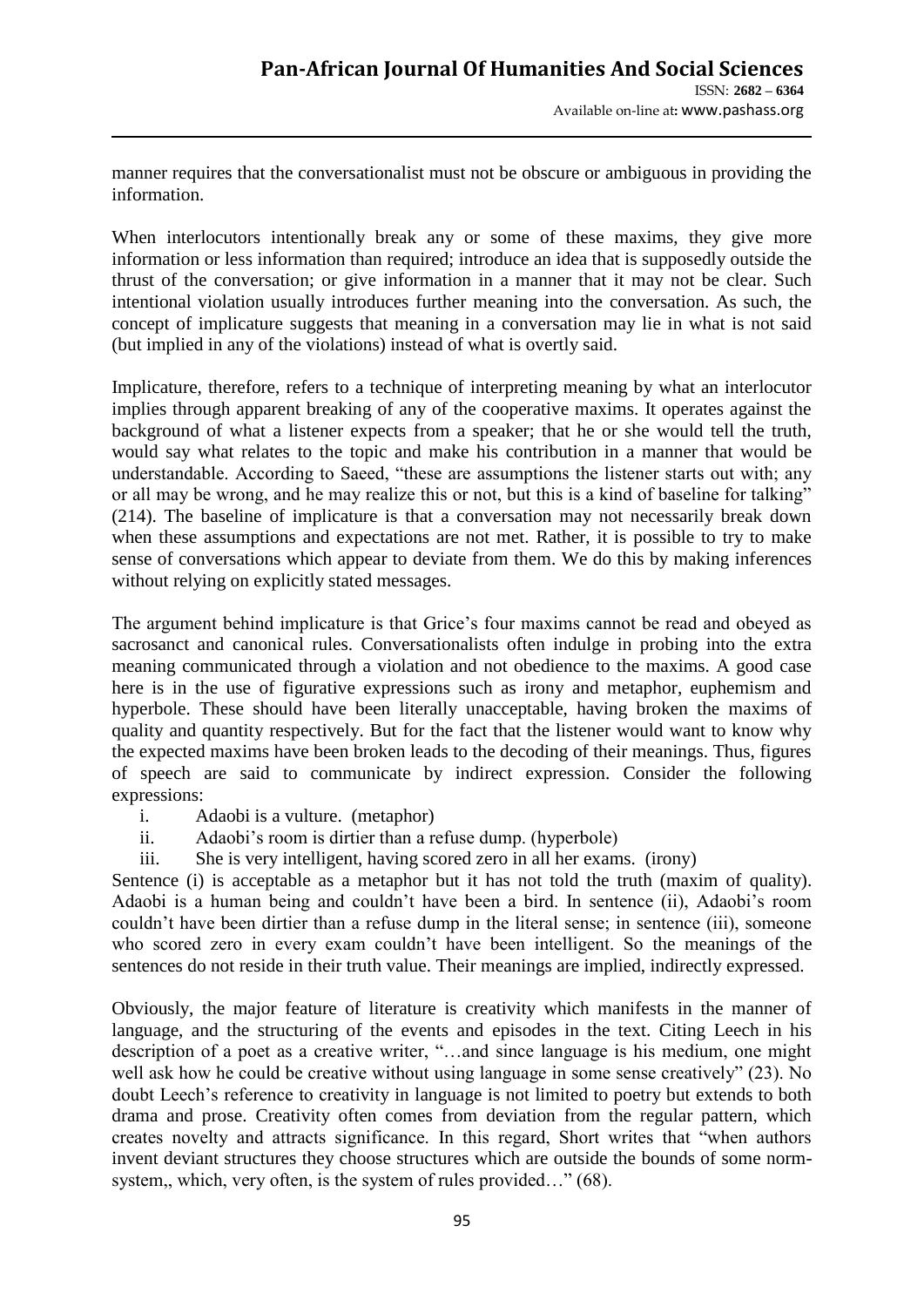manner requires that the conversationalist must not be obscure or ambiguous in providing the information.

When interlocutors intentionally break any or some of these maxims, they give more information or less information than required; introduce an idea that is supposedly outside the thrust of the conversation; or give information in a manner that it may not be clear. Such intentional violation usually introduces further meaning into the conversation. As such, the concept of implicature suggests that meaning in a conversation may lie in what is not said (but implied in any of the violations) instead of what is overtly said.

Implicature, therefore, refers to a technique of interpreting meaning by what an interlocutor implies through apparent breaking of any of the cooperative maxims. It operates against the background of what a listener expects from a speaker; that he or she would tell the truth, would say what relates to the topic and make his contribution in a manner that would be understandable. According to Saeed, "these are assumptions the listener starts out with; any or all may be wrong, and he may realize this or not, but this is a kind of baseline for talking" (214). The baseline of implicature is that a conversation may not necessarily break down when these assumptions and expectations are not met. Rather, it is possible to try to make sense of conversations which appear to deviate from them. We do this by making inferences without relying on explicitly stated messages.

The argument behind implicature is that Grice"s four maxims cannot be read and obeyed as sacrosanct and canonical rules. Conversationalists often indulge in probing into the extra meaning communicated through a violation and not obedience to the maxims. A good case here is in the use of figurative expressions such as irony and metaphor, euphemism and hyperbole. These should have been literally unacceptable, having broken the maxims of quality and quantity respectively. But for the fact that the listener would want to know why the expected maxims have been broken leads to the decoding of their meanings. Thus, figures of speech are said to communicate by indirect expression. Consider the following expressions:

- i. Adaobi is a vulture. (metaphor)
- ii. Adaobi"s room is dirtier than a refuse dump. (hyperbole)
- iii. She is very intelligent, having scored zero in all her exams. (irony)

Sentence (i) is acceptable as a metaphor but it has not told the truth (maxim of quality). Adaobi is a human being and couldn"t have been a bird. In sentence (ii), Adaobi"s room couldn"t have been dirtier than a refuse dump in the literal sense; in sentence (iii), someone who scored zero in every exam couldn't have been intelligent. So the meanings of the sentences do not reside in their truth value. Their meanings are implied, indirectly expressed.

Obviously, the major feature of literature is creativity which manifests in the manner of language, and the structuring of the events and episodes in the text. Citing Leech in his description of a poet as a creative writer, "…and since language is his medium, one might well ask how he could be creative without using language in some sense creatively" (23). No doubt Leech"s reference to creativity in language is not limited to poetry but extends to both drama and prose. Creativity often comes from deviation from the regular pattern, which creates novelty and attracts significance. In this regard, Short writes that "when authors invent deviant structures they choose structures which are outside the bounds of some normsystem,, which, very often, is the system of rules provided…" (68).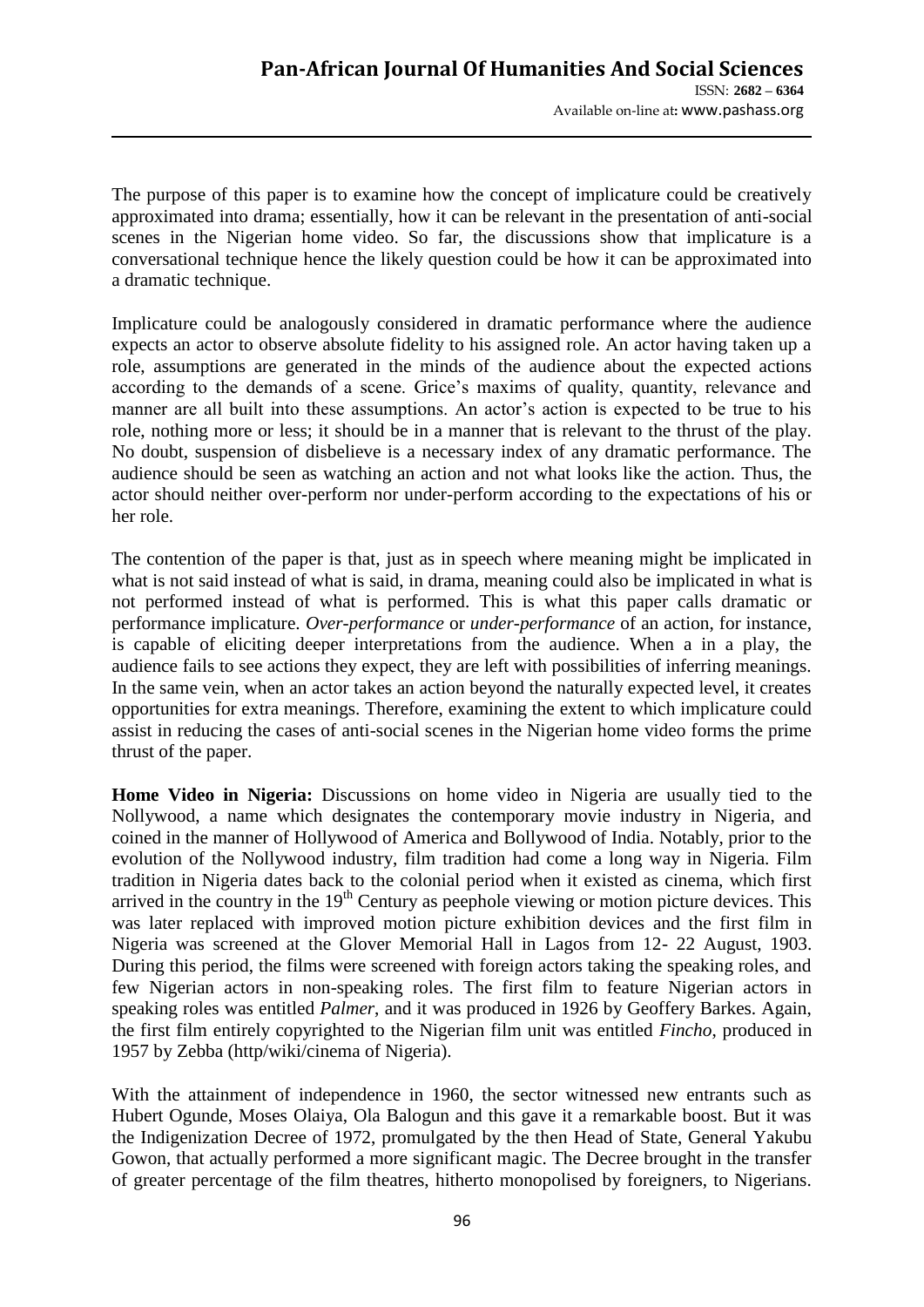The purpose of this paper is to examine how the concept of implicature could be creatively approximated into drama; essentially, how it can be relevant in the presentation of anti-social scenes in the Nigerian home video. So far, the discussions show that implicature is a conversational technique hence the likely question could be how it can be approximated into a dramatic technique.

Implicature could be analogously considered in dramatic performance where the audience expects an actor to observe absolute fidelity to his assigned role. An actor having taken up a role, assumptions are generated in the minds of the audience about the expected actions according to the demands of a scene. Grice"s maxims of quality, quantity, relevance and manner are all built into these assumptions. An actor's action is expected to be true to his role, nothing more or less; it should be in a manner that is relevant to the thrust of the play. No doubt, suspension of disbelieve is a necessary index of any dramatic performance. The audience should be seen as watching an action and not what looks like the action. Thus, the actor should neither over-perform nor under-perform according to the expectations of his or her role.

The contention of the paper is that, just as in speech where meaning might be implicated in what is not said instead of what is said, in drama, meaning could also be implicated in what is not performed instead of what is performed. This is what this paper calls dramatic or performance implicature. *Over-performance* or *under-performance* of an action, for instance, is capable of eliciting deeper interpretations from the audience. When a in a play, the audience fails to see actions they expect, they are left with possibilities of inferring meanings. In the same vein, when an actor takes an action beyond the naturally expected level, it creates opportunities for extra meanings. Therefore, examining the extent to which implicature could assist in reducing the cases of anti-social scenes in the Nigerian home video forms the prime thrust of the paper.

**Home Video in Nigeria:** Discussions on home video in Nigeria are usually tied to the Nollywood, a name which designates the contemporary movie industry in Nigeria, and coined in the manner of Hollywood of America and Bollywood of India. Notably, prior to the evolution of the Nollywood industry, film tradition had come a long way in Nigeria. Film tradition in Nigeria dates back to the colonial period when it existed as cinema, which first arrived in the country in the 19<sup>th</sup> Century as peephole viewing or motion picture devices. This was later replaced with improved motion picture exhibition devices and the first film in Nigeria was screened at the Glover Memorial Hall in Lagos from 12- 22 August, 1903. During this period, the films were screened with foreign actors taking the speaking roles, and few Nigerian actors in non-speaking roles. The first film to feature Nigerian actors in speaking roles was entitled *Palmer*, and it was produced in 1926 by Geoffery Barkes. Again, the first film entirely copyrighted to the Nigerian film unit was entitled *Fincho*, produced in 1957 by Zebba (http/wiki/cinema of Nigeria).

With the attainment of independence in 1960, the sector witnessed new entrants such as Hubert Ogunde, Moses Olaiya, Ola Balogun and this gave it a remarkable boost. But it was the Indigenization Decree of 1972, promulgated by the then Head of State, General Yakubu Gowon, that actually performed a more significant magic. The Decree brought in the transfer of greater percentage of the film theatres, hitherto monopolised by foreigners, to Nigerians.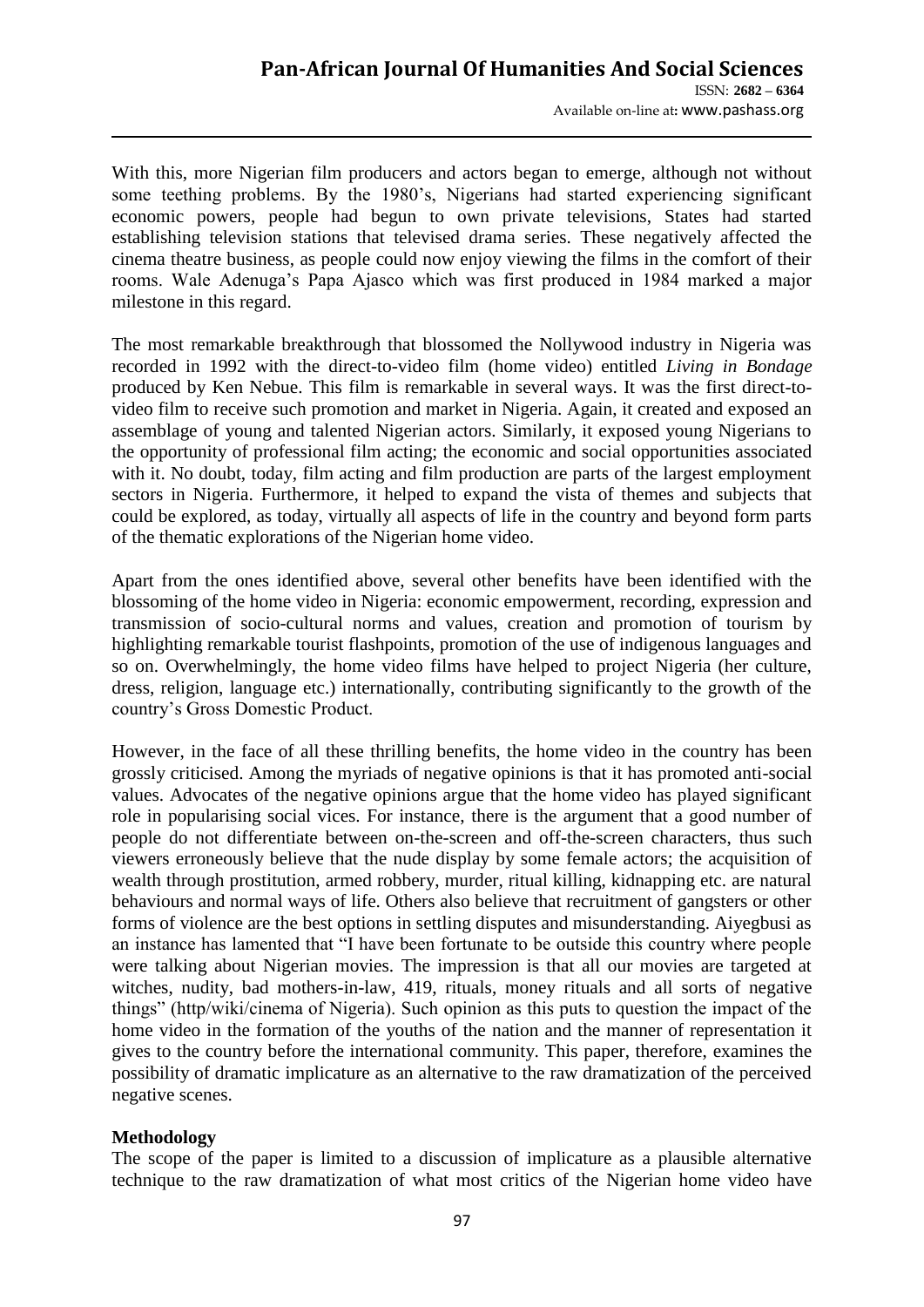With this, more Nigerian film producers and actors began to emerge, although not without some teething problems. By the 1980's, Nigerians had started experiencing significant economic powers, people had begun to own private televisions, States had started establishing television stations that televised drama series. These negatively affected the cinema theatre business, as people could now enjoy viewing the films in the comfort of their rooms. Wale Adenuga"s Papa Ajasco which was first produced in 1984 marked a major milestone in this regard.

The most remarkable breakthrough that blossomed the Nollywood industry in Nigeria was recorded in 1992 with the direct-to-video film (home video) entitled *Living in Bondage* produced by Ken Nebue. This film is remarkable in several ways. It was the first direct-tovideo film to receive such promotion and market in Nigeria. Again, it created and exposed an assemblage of young and talented Nigerian actors. Similarly, it exposed young Nigerians to the opportunity of professional film acting; the economic and social opportunities associated with it. No doubt, today, film acting and film production are parts of the largest employment sectors in Nigeria. Furthermore, it helped to expand the vista of themes and subjects that could be explored, as today, virtually all aspects of life in the country and beyond form parts of the thematic explorations of the Nigerian home video.

Apart from the ones identified above, several other benefits have been identified with the blossoming of the home video in Nigeria: economic empowerment, recording, expression and transmission of socio-cultural norms and values, creation and promotion of tourism by highlighting remarkable tourist flashpoints, promotion of the use of indigenous languages and so on. Overwhelmingly, the home video films have helped to project Nigeria (her culture, dress, religion, language etc.) internationally, contributing significantly to the growth of the country"s Gross Domestic Product.

However, in the face of all these thrilling benefits, the home video in the country has been grossly criticised. Among the myriads of negative opinions is that it has promoted anti-social values. Advocates of the negative opinions argue that the home video has played significant role in popularising social vices. For instance, there is the argument that a good number of people do not differentiate between on-the-screen and off-the-screen characters, thus such viewers erroneously believe that the nude display by some female actors; the acquisition of wealth through prostitution, armed robbery, murder, ritual killing, kidnapping etc. are natural behaviours and normal ways of life. Others also believe that recruitment of gangsters or other forms of violence are the best options in settling disputes and misunderstanding. Aiyegbusi as an instance has lamented that "I have been fortunate to be outside this country where people were talking about Nigerian movies. The impression is that all our movies are targeted at witches, nudity, bad mothers-in-law, 419, rituals, money rituals and all sorts of negative things" (http/wiki/cinema of Nigeria). Such opinion as this puts to question the impact of the home video in the formation of the youths of the nation and the manner of representation it gives to the country before the international community. This paper, therefore, examines the possibility of dramatic implicature as an alternative to the raw dramatization of the perceived negative scenes.

# **Methodology**

The scope of the paper is limited to a discussion of implicature as a plausible alternative technique to the raw dramatization of what most critics of the Nigerian home video have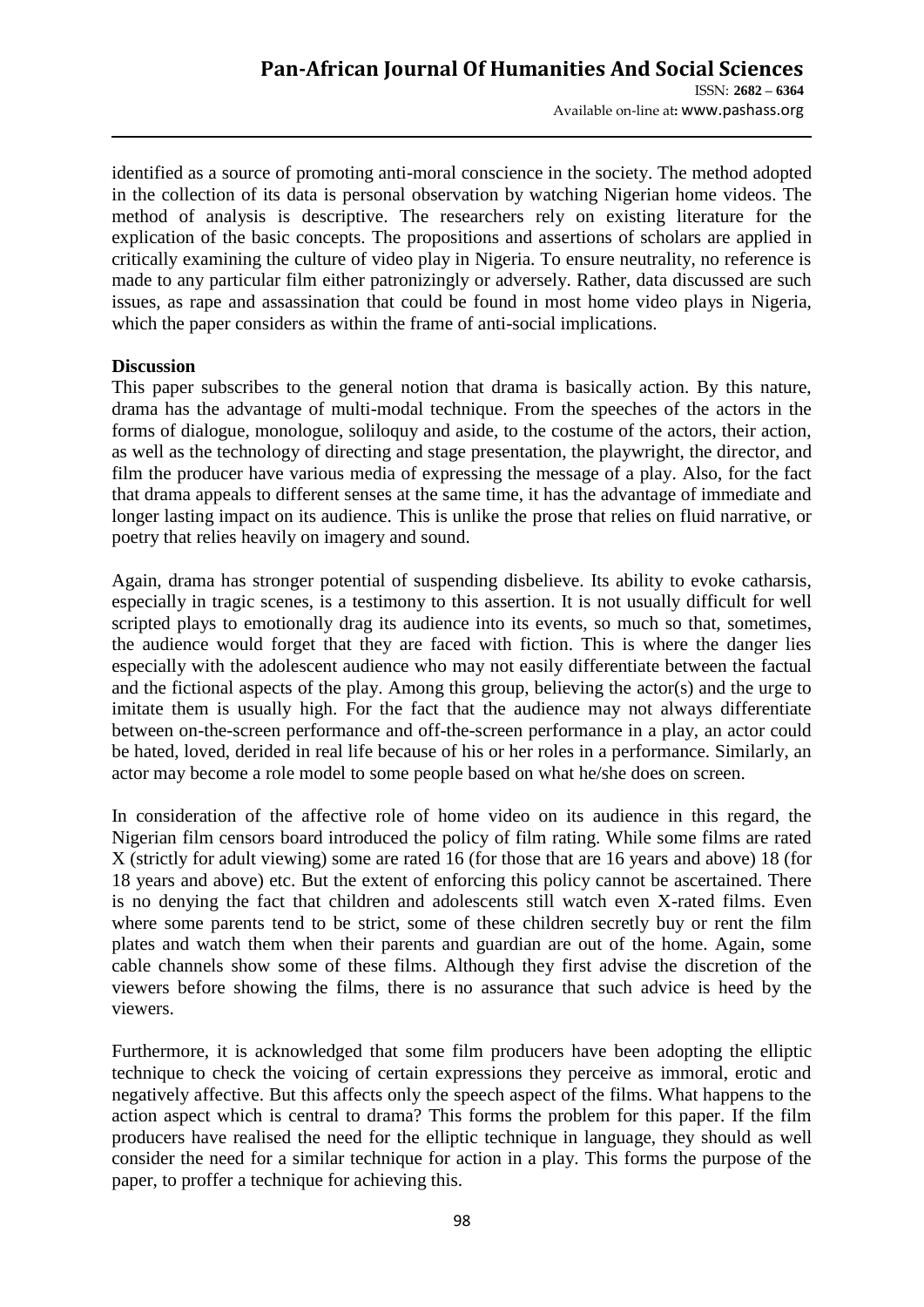identified as a source of promoting anti-moral conscience in the society. The method adopted in the collection of its data is personal observation by watching Nigerian home videos. The method of analysis is descriptive. The researchers rely on existing literature for the explication of the basic concepts. The propositions and assertions of scholars are applied in critically examining the culture of video play in Nigeria. To ensure neutrality, no reference is made to any particular film either patronizingly or adversely. Rather, data discussed are such issues, as rape and assassination that could be found in most home video plays in Nigeria, which the paper considers as within the frame of anti-social implications.

### **Discussion**

This paper subscribes to the general notion that drama is basically action. By this nature, drama has the advantage of multi-modal technique. From the speeches of the actors in the forms of dialogue, monologue, soliloquy and aside, to the costume of the actors, their action, as well as the technology of directing and stage presentation, the playwright, the director, and film the producer have various media of expressing the message of a play. Also, for the fact that drama appeals to different senses at the same time, it has the advantage of immediate and longer lasting impact on its audience. This is unlike the prose that relies on fluid narrative, or poetry that relies heavily on imagery and sound.

Again, drama has stronger potential of suspending disbelieve. Its ability to evoke catharsis, especially in tragic scenes, is a testimony to this assertion. It is not usually difficult for well scripted plays to emotionally drag its audience into its events, so much so that, sometimes, the audience would forget that they are faced with fiction. This is where the danger lies especially with the adolescent audience who may not easily differentiate between the factual and the fictional aspects of the play. Among this group, believing the actor(s) and the urge to imitate them is usually high. For the fact that the audience may not always differentiate between on-the-screen performance and off-the-screen performance in a play, an actor could be hated, loved, derided in real life because of his or her roles in a performance. Similarly, an actor may become a role model to some people based on what he/she does on screen.

In consideration of the affective role of home video on its audience in this regard, the Nigerian film censors board introduced the policy of film rating. While some films are rated X (strictly for adult viewing) some are rated 16 (for those that are 16 years and above) 18 (for 18 years and above) etc. But the extent of enforcing this policy cannot be ascertained. There is no denying the fact that children and adolescents still watch even X-rated films. Even where some parents tend to be strict, some of these children secretly buy or rent the film plates and watch them when their parents and guardian are out of the home. Again, some cable channels show some of these films. Although they first advise the discretion of the viewers before showing the films, there is no assurance that such advice is heed by the viewers.

Furthermore, it is acknowledged that some film producers have been adopting the elliptic technique to check the voicing of certain expressions they perceive as immoral, erotic and negatively affective. But this affects only the speech aspect of the films. What happens to the action aspect which is central to drama? This forms the problem for this paper. If the film producers have realised the need for the elliptic technique in language, they should as well consider the need for a similar technique for action in a play. This forms the purpose of the paper, to proffer a technique for achieving this.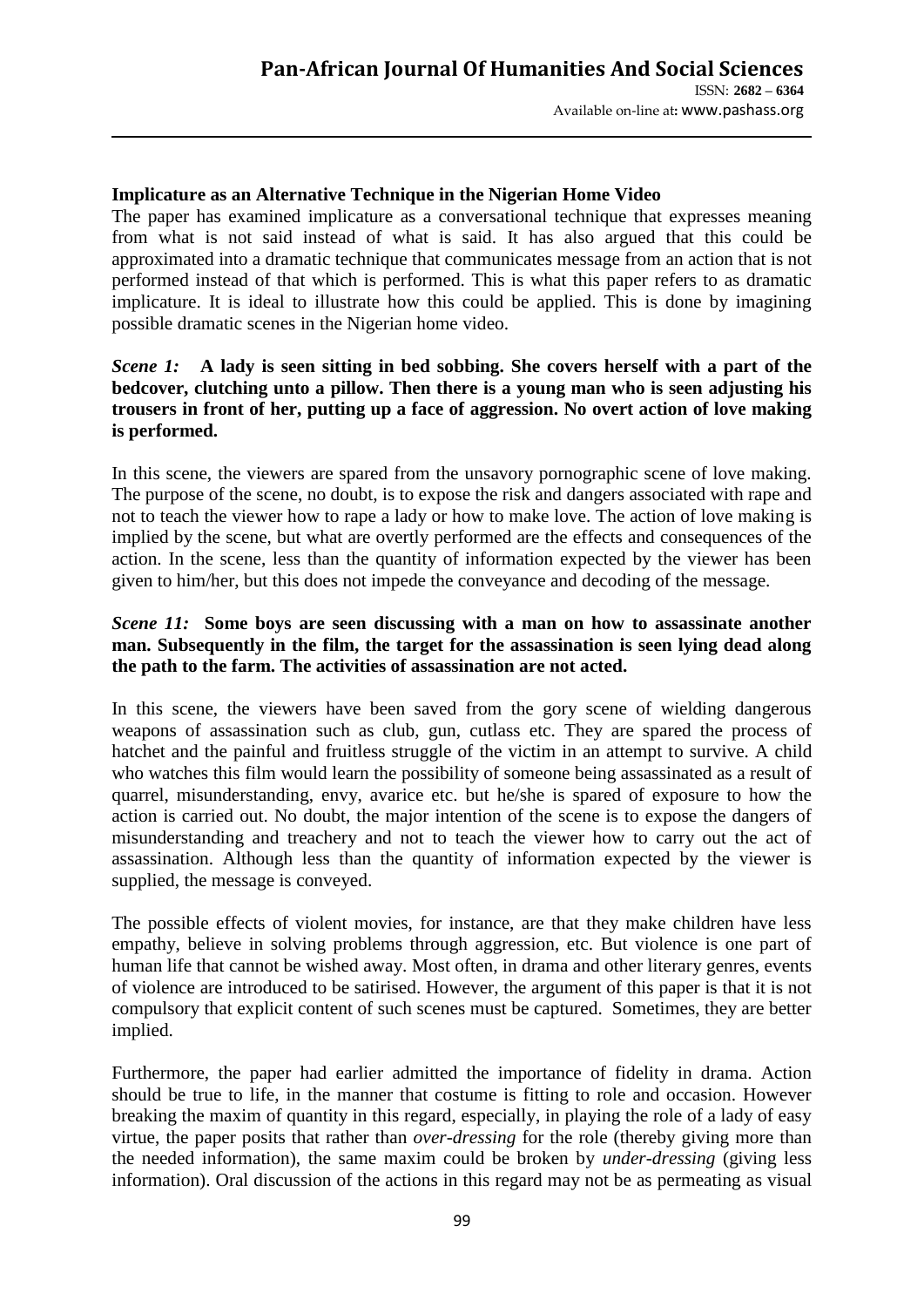### **Implicature as an Alternative Technique in the Nigerian Home Video**

The paper has examined implicature as a conversational technique that expresses meaning from what is not said instead of what is said. It has also argued that this could be approximated into a dramatic technique that communicates message from an action that is not performed instead of that which is performed. This is what this paper refers to as dramatic implicature. It is ideal to illustrate how this could be applied. This is done by imagining possible dramatic scenes in the Nigerian home video.

## *Scene 1:* **A lady is seen sitting in bed sobbing. She covers herself with a part of the bedcover, clutching unto a pillow. Then there is a young man who is seen adjusting his trousers in front of her, putting up a face of aggression. No overt action of love making is performed.**

In this scene, the viewers are spared from the unsavory pornographic scene of love making. The purpose of the scene, no doubt, is to expose the risk and dangers associated with rape and not to teach the viewer how to rape a lady or how to make love. The action of love making is implied by the scene, but what are overtly performed are the effects and consequences of the action. In the scene, less than the quantity of information expected by the viewer has been given to him/her, but this does not impede the conveyance and decoding of the message.

## *Scene 11:* **Some boys are seen discussing with a man on how to assassinate another man. Subsequently in the film, the target for the assassination is seen lying dead along the path to the farm. The activities of assassination are not acted.**

In this scene, the viewers have been saved from the gory scene of wielding dangerous weapons of assassination such as club, gun, cutlass etc. They are spared the process of hatchet and the painful and fruitless struggle of the victim in an attempt to survive. A child who watches this film would learn the possibility of someone being assassinated as a result of quarrel, misunderstanding, envy, avarice etc. but he/she is spared of exposure to how the action is carried out. No doubt, the major intention of the scene is to expose the dangers of misunderstanding and treachery and not to teach the viewer how to carry out the act of assassination. Although less than the quantity of information expected by the viewer is supplied, the message is conveyed.

The possible effects of violent movies, for instance, are that they make children have less empathy, believe in solving problems through aggression, etc. But violence is one part of human life that cannot be wished away. Most often, in drama and other literary genres, events of violence are introduced to be satirised. However, the argument of this paper is that it is not compulsory that explicit content of such scenes must be captured. Sometimes, they are better implied.

Furthermore, the paper had earlier admitted the importance of fidelity in drama. Action should be true to life, in the manner that costume is fitting to role and occasion. However breaking the maxim of quantity in this regard, especially, in playing the role of a lady of easy virtue, the paper posits that rather than *over-dressing* for the role (thereby giving more than the needed information), the same maxim could be broken by *under-dressing* (giving less information). Oral discussion of the actions in this regard may not be as permeating as visual